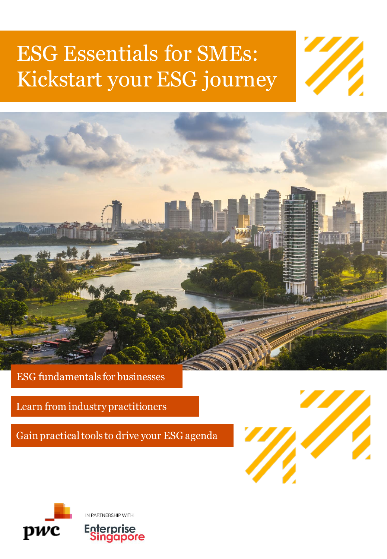# ESG Essentials for SMEs: Kickstart your ESG journey





ESG fundamentals for businesses

Learn from industry practitioners

Gain practical tools to drive your ESG agenda



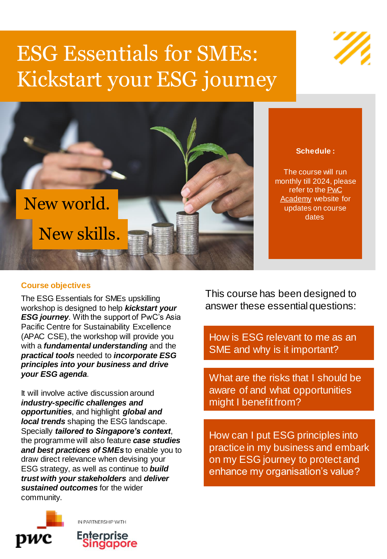# ESG Essentials for SMEs: Kickstart your ESG journey



**Schedule :**

The course will run monthly till 2024, please [refer to the PwC](https://www.pwc.com/sg/en/academy/academy-public-seminars/esg-essentials-for-smes.html)  Academy website for updates on course dates

### **Course objectives**

The ESG Essentials for SMEs upskilling workshop is designed to help *kickstart your ESG journey*. With the support of PwC's Asia Pacific Centre for Sustainability Excellence (APAC CSE), the workshop will provide you with a *fundamental understanding* and the *practical tools* needed to *incorporate ESG principles into your business and drive your ESG agenda*.

It will involve active discussion around *industry-specific challenges and opportunities*, and highlight *global and local trends* shaping the ESG landscape. Specially *tailored to Singapore's context*, the programme will also feature *case studies and best practices of SMEs* to enable you to draw direct relevance when devising your ESG strategy, as well as continue to *build trust with your stakeholders* and *deliver sustained outcomes* for the wider community.

pwc

IN PARTNERSHIP WITH

**Enterprise** 

singapore

This course has been designed to answer these essential questions:

How is ESG relevant to me as an SME and why is it important?

What are the risks that I should be aware of and what opportunities might I benefit from?

How can I put ESG principles into practice in my business and embark on my ESG journey to protect and enhance my organisation's value?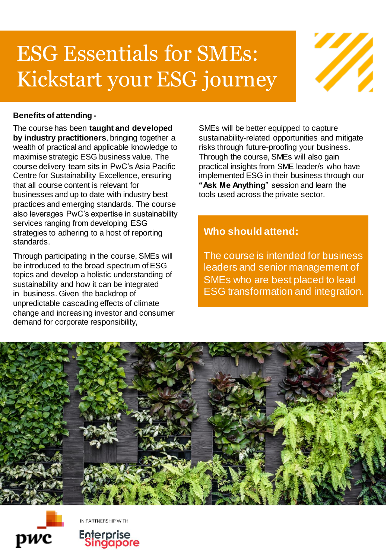# ESG Essentials for SMEs: Kickstart your ESG journey



## **Benefits of attending -**

The course has been **taught and developed by industry practitioners**, bringing together a wealth of practical and applicable knowledge to maximise strategic ESG business value. The course delivery team sits in PwC's Asia Pacific Centre for Sustainability Excellence, ensuring that all course content is relevant for businesses and up to date with industry best practices and emerging standards. The course also leverages PwC's expertise in sustainability services ranging from developing ESG strategies to adhering to a host of reporting standards.

Through participating in the course, SMEs will be introduced to the broad spectrum of ESG topics and develop a holistic understanding of sustainability and how it can be integrated in business. Given the backdrop of unpredictable cascading effects of climate change and increasing investor and consumer demand for corporate responsibility,

SMEs will be better equipped to capture sustainability-related opportunities and mitigate risks through future-proofing your business. Through the course, SMEs will also gain practical insights from SME leader/s who have implemented ESG in their business through our **"Ask Me Anything**" session and learn the tools used across the private sector.

## **Who should attend:**

The course is intended for business leaders and senior management of SMEs who are best placed to lead ESG transformation and integration.





IN PARTNERSHIP WITH

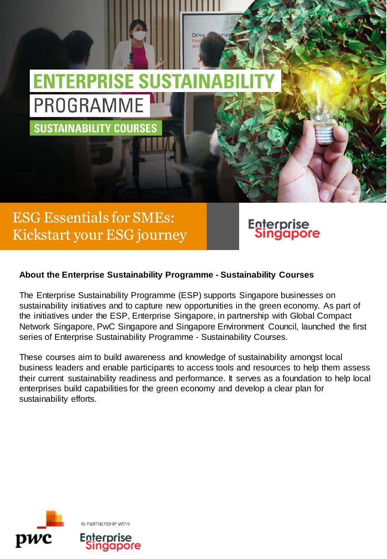

Driv

# ESG Essentials for SMEs: Kickstart your ESG journey



## **About the Enterprise Sustainability Programme - Sustainability Courses**

The Enterprise Sustainability Programme (ESP) supports Singapore businesses on sustainability initiatives and to capture new opportunities in the green economy. As part of the initiatives under the ESP, Enterprise Singapore, in partnership with Global Compact Network Singapore, PwC Singapore and Singapore Environment Council, launched the first series of Enterprise Sustainability Programme - Sustainability Courses.

These courses aim to build awareness and knowledge of sustainability amongst local business leaders and enable participants to access tools and resources to help them assess their current sustainability readiness and performance. It serves as a foundation to help local enterprises build capabilities for the green economy and develop a clear plan for sustainability efforts.

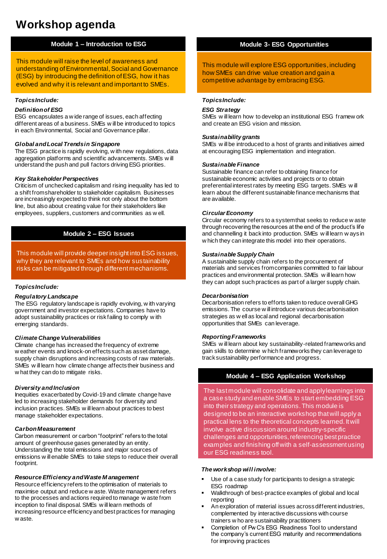# **Workshop agenda**

#### **Module 1 – Introduction to ESG**

This module will raise the level of awareness and understanding of Environmental, Social and Governance (ESG) by introducing the definition of ESG, how it has evolved and why it is relevant and important to SMEs.

#### *Topics Include:*

#### *Definition of ESG*

ESG encapsulates a w ide range of issues, each affecting different areas of a business. SMEs w ill be introduced to topics in each Environmental, Social and Governance pillar.

#### *Global and Local Trends in Singapore*

The ESG practice is rapidly evolving, w ith new regulations, data aggregation platforms and scientific advancements. SMEs w ill understand the push and pull factors driving ESG priorities.

#### *Key Stakeholder Perspectives*

Criticism of unchecked capitalism and rising inequality has led to a shift from shareholder to stakeholder capitalism. Businesses are increasingly expected to think not only about the bottom line, but also about creating value for their stakeholders like employees, suppliers, customers and communities as w ell.

#### **Module 2 – ESG Issues**

This module will provide deeper insight into ESG issues, why they are relevant to SMEs and how sustainability risks can be mitigated through different mechanisms.

#### *Topics Include:*

#### *Regulatory Landscape*

The ESG regulatory landscape is rapidly evolving, w ith varying government and investor expectations. Companies have to adopt sustainability practices or risk failing to comply w ith emerging standards.

#### *Climate Change Vulnerabilities*

Climate change has increased the frequency of extreme w eather events and knock-on effects such as asset damage, supply chain disruptions and increasing costs of raw materials. SMEs w ill learn how climate change affects their business and w hat they can do to mitigate risks.

#### *Diversity and Inclusion*

Inequities exacerbated by Covid-19 and climate change have led to increasing stakeholder demands for diversity and inclusion practices. SMEs w ill learn about practices to best manage stakeholder expectations.

#### *Carbon Measurement*

Carbon measurement or carbon "footprint" refers to the total amount of greenhouse gases generated by an entity. Understanding the total emissions and major sources of emissions w ill enable SMEs to take steps to reduce their overall footprint.

#### *Resource Efficiency and Waste M anagement*

Resource efficiency refers to the optimisation of materials to maximise output and reduce w aste. Waste management refers to the processes and actions required to manage w aste from inception to final disposal. SMEs w ill learn methods of increasing resource efficiency and best practices for managing w aste.

#### **Module 3- ESG Opportunities**

This module will explore ESG opportunities, including how SMEs can drive value creation and gain a competitive advantage by embracing ESG.

#### *Topics Include:*

#### *ESG Strategy*

SMEs w ill learn how to develop an institutional ESG framew ork and create an ESG vision and mission.

#### *Sustainability grants*

SMEs w ill be introduced to a host of grants and initiatives aimed at encouraging ESG implementation and integration.

#### *Sustainable Finance*

Sustainable finance can refer to obtaining finance for sustainable economic activities and projects or to obtain preferential interest rates by meeting ESG targets. SMEs w ill learn about the different sustainable finance mechanisms that are available.

#### *Circular Economy*

Circular economy refers to a system that seeks to reduce w aste through recovering the resources at the end of the product's life and channelling it back into production. SMEs w ill learn w ays in w hich they can integrate this model into their operations.

#### *Sustainable Supply Chain*

A sustainable supply chain refers to the procurement of materials and services from companies committed to fair labour practices and environmental protection. SMEs w ill learn how they can adopt such practices as part of a larger supply chain.

#### *Decarbonisation*

Decarbonisation refers to efforts taken to reduce overall GHG emissions. The course w ill introduce various decarbonisation strategies as w ell as local and regional decarbonisation opportunities that SMEs can leverage.

#### *Reporting Frameworks*

SMEs w ill learn about key sustainability-related frameworks and gain skills to determine w hich frameworks they can leverage to track sustainability performance and progress.

#### **Module 4 – ESG Application Workshop**

The last module will consolidate and apply learnings into a case study and enable SMEs to start embedding ESG into their strategy and operations. This module is designed to be an interactive workshop that will apply a practical lens to the theoretical concepts learned. It will involve active discussion around industry-specific challenges and opportunities, referencing best practice examples and finishing off with a self-assessment using our ESG readiness tool.

#### *The workshop will involve:*

- Use of a case study for participants to design a strategic ESG roadmap
- Walkthrough of best-practice examples of global and local reporting
- An exploration of material issues across different industries, complemented by interactive discussions with course trainers w ho are sustainability practitioners
- Completion of Pw C's ESG Readiness Tool to understand the company's current ESG maturity and recommendations for improving practices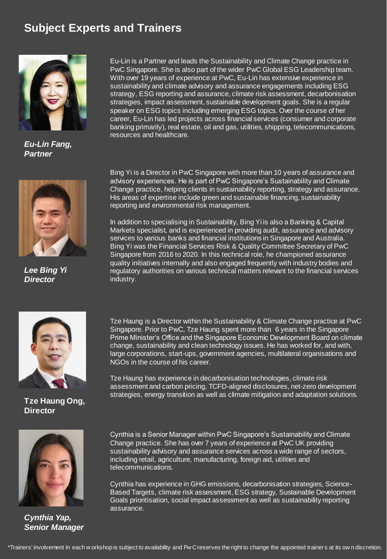# **Subject Experts and Trainers**



*Eu-Lin Fang, Partner*



*Lee Bing Yi Director*

Eu-Lin is a Partner and leads the Sustainability and Climate Change practice in PwC Singapore. She is also part of the wider PwC Global ESG Leadership team. With over 19 years of experience at PwC, Eu-Lin has extensive experience in sustainability and climate advisory and assurance engagements including ESG strategy, ESG reporting and assurance, climate risk assessment, decarbonisation strategies, impact assessment, sustainable development goals. She is a regular speaker on ESG topics including emerging ESG topics. Over the course of her career, Eu-Lin has led projects across financial services (consumer and corporate banking primarily), real estate, oil and gas, utilities, shipping, telecommunications, resources and healthcare.

Bing Yi is a Director in PwC Singapore with more than 10 years of assurance and advisory experiences. He is part of PwC Singapore's Sustainability and Climate Change practice, helping clients in sustainability reporting, strategy and assurance. His areas of expertise include green and sustainable financing, sustainability reporting and environmental risk management.

In addition to specialising in Sustainability, Bing Yi is also a Banking & Capital Markets specialist, and is experienced in providing audit, assurance and advisory services to various banks and financial institutions in Singapore and Australia. Bing Yi was the Financial Services Risk & Quality Committee Secretary of PwC Singapore from 2016 to 2020. In this technical role, he championed assurance quality initiatives internally and also engaged frequently with industry bodies and regulatory authorities on various technical matters relevant to the financial services industry.



**Tze Haung Ong, Director**

Tze Haung is a Director within the Sustainability & Climate Change practice at PwC Singapore. Prior to PwC, Tze Haung spent more than 6 years in the Singapore Prime Minister's Office and the Singapore Economic Development Board on climate change, sustainability and clean technology issues. He has worked for, and with, large corporations, start-ups, government agencies, multilateral organisations and NGOs in the course of his career.

Tze Haung has experience in decarbonisation technologies, climate risk assessment and carbon pricing, TCFD-aligned disclosures, net-zero development strategies, energy transition as well as climate mitigation and adaptation solutions.



*Cynthia Yap, Senior Manager*

Cynthia is a Senior Manager within PwC Singapore's Sustainability and Climate Change practice. She has over 7 years of experience at PwC UK providing sustainability advisory and assurance services across a wide range of sectors, including retail, agriculture, manufacturing, foreign aid, utilities and telecommunications.

Cynthia has experience in GHG emissions, decarbonisation strategies, Science-Based Targets, climate risk assessment, ESG strategy, Sustainable Development Goals prioritisation, social impact assessment as well as sustainability reporting assurance.